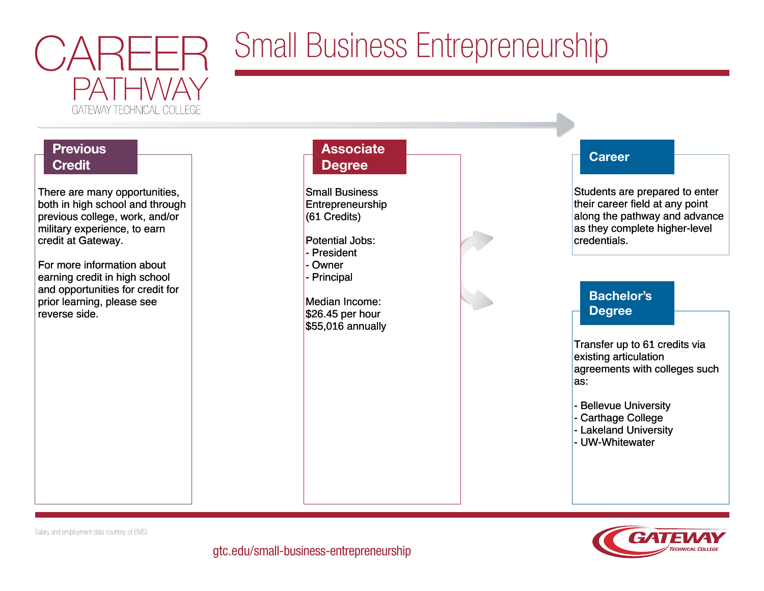

# Small Business Entrepreneurship

# Previous **De la Career de la Career de la Career de la Career de la Career de la Career Credit** There are many opportunities, There are many opportunities, both in high school and through both in high school and through previous college, work, and/or previous college, work, and/or military experience, to earn military experience, to earn credit at Gateway. credit at Gateway. For more information about For more information about

earning credit in high school earning credit in high school and opportunities for credit for and opportunities for credit for prior learning, please see prior learning, please see reverse side. reverse side.

# **Associate Degree**

Small Business Small Business Entrepreneurship Entrepreneurship (61 Credits) (61 Credits)

Potential Jobs: Potential Jobs:

- President - President - Owner - Owner

- Principal - Principal

Median Income: Median Income: \$26.45 per hour \$26.45 per hour \$55,016 annually \$55,016 annually



Students are prepared to enter Students are prepared to enter their career field at any point their career field at any point along the pathway and advance along the pathway and advance as they complete higher-level as they complete higher-level credentials. credentials.

## Bachelor's Degree

Transfer up to 61 credits via Transfer up to 61 credits via existing articulation existing articulation agreements with colleges such agreements with colleges such as: as:

- Bellevue University - Bellevue University

- Carthage College - Carthage College

- Lakeland University - Lakeland University

- UW-Whitewater - UW-Whitewater



Salary and employment data courtesy of EMSI.